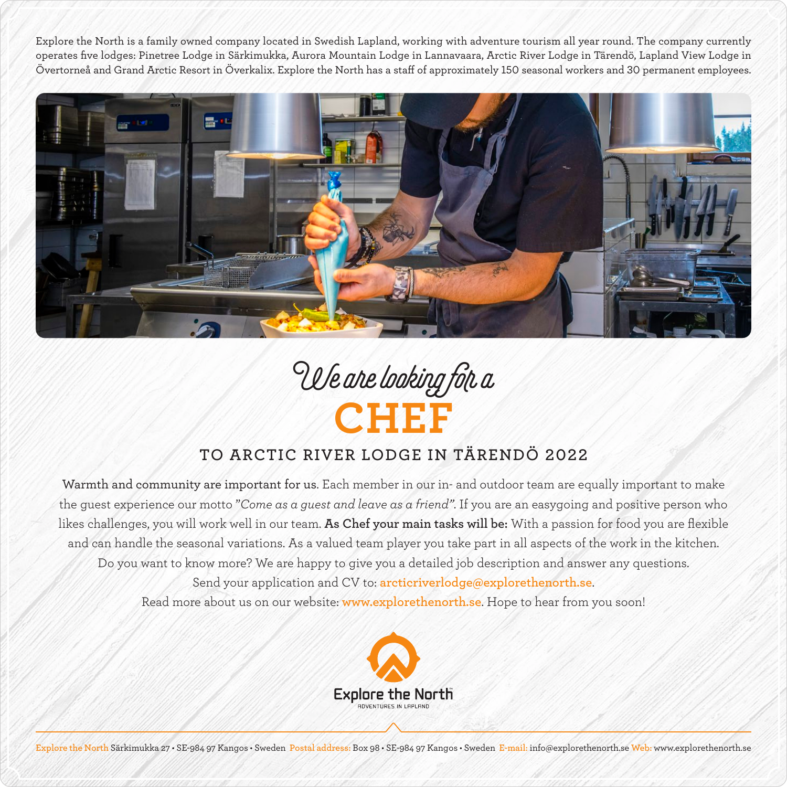Explore the North is a family owned company located in Swedish Lapland, working with adventure tourism all year round. The company currently operates five lodges: Pinetree Lodge in Särkimukka, Aurora Mountain Lodge in Lannavaara, Arctic River Lodge in Tärendö, Lapland View Lodge in Övertorneå and Grand Arctic Resort in Överkalix. Explore the North has a staff of approximately 150 seasonal workers and 30 permanent employees.





## **TO ARCTIC RIVER LODGE IN TÄRENDÖ 2022**

Warmth and community are important for us. Each member in our in- and outdoor team are equally important to make the guest experience our motto "*Come as a guest and leave as a friend"*. If you are an easygoing and positive person who likes challenges, you will work well in our team. **As Chef your main tasks will be:** With a passion for food you are flexible and can handle the seasonal variations. As a valued team player you take part in all aspects of the work in the kitchen. Do you want to know more? We are happy to give you a detailed job description and answer any questions. Send your application and CV to: **arcticriverlodge@explorethenorth.se**. Read more about us on our website: **www.explorethenorth.se**. Hope to hear from you soon!